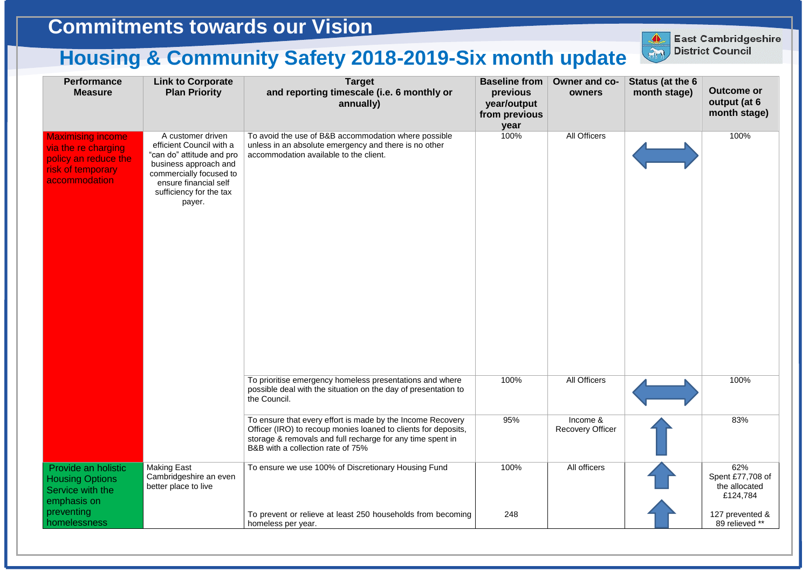| <b>Performance</b><br><b>Measure</b>                                                                          | <b>Link to Corporate</b><br><b>Plan Priority</b>                                                                                                                                             | <b>Target</b><br>and reporting timescale (i.e. 6 monthly or<br>annually)                                                                                                                                                        | <b>Baseline from</b><br>previous<br>year/output<br>from previous<br>year | Owner and c<br>owners             |
|---------------------------------------------------------------------------------------------------------------|----------------------------------------------------------------------------------------------------------------------------------------------------------------------------------------------|---------------------------------------------------------------------------------------------------------------------------------------------------------------------------------------------------------------------------------|--------------------------------------------------------------------------|-----------------------------------|
| <b>Maximising income</b><br>via the re charging<br>policy an reduce the<br>risk of temporary<br>accommodation | A customer driven<br>efficient Council with a<br>"can do" attitude and pro<br>business approach and<br>commercially focused to<br>ensure financial self<br>sufficiency for the tax<br>payer. | To avoid the use of B&B accommodation where possible<br>unless in an absolute emergency and there is no other<br>accommodation available to the client.                                                                         | 100%                                                                     | <b>All Officers</b>               |
|                                                                                                               |                                                                                                                                                                                              | To prioritise emergency homeless presentations and where<br>possible deal with the situation on the day of presentation to<br>the Council.                                                                                      | 100%                                                                     | All Officers                      |
|                                                                                                               |                                                                                                                                                                                              | To ensure that every effort is made by the Income Recovery<br>Officer (IRO) to recoup monies loaned to clients for deposits,<br>storage & removals and full recharge for any time spent in<br>B&B with a collection rate of 75% | 95%                                                                      | Income &<br><b>Recovery Offic</b> |
| Provide an holistic<br><b>Housing Options</b><br>Service with the<br>emphasis on                              | <b>Making East</b><br>Cambridgeshire an even<br>better place to live                                                                                                                         | To ensure we use 100% of Discretionary Housing Fund                                                                                                                                                                             | 100%                                                                     | All officers                      |
| preventing<br>homelessness                                                                                    |                                                                                                                                                                                              | To prevent or relieve at least 250 households from becoming<br>homeless per year.                                                                                                                                               | 248                                                                      |                                   |



**East Cambridgeshire District Council**

## **Commitments towards our Vision**

## **Housing & Community Safety 2018-2019-Six month update**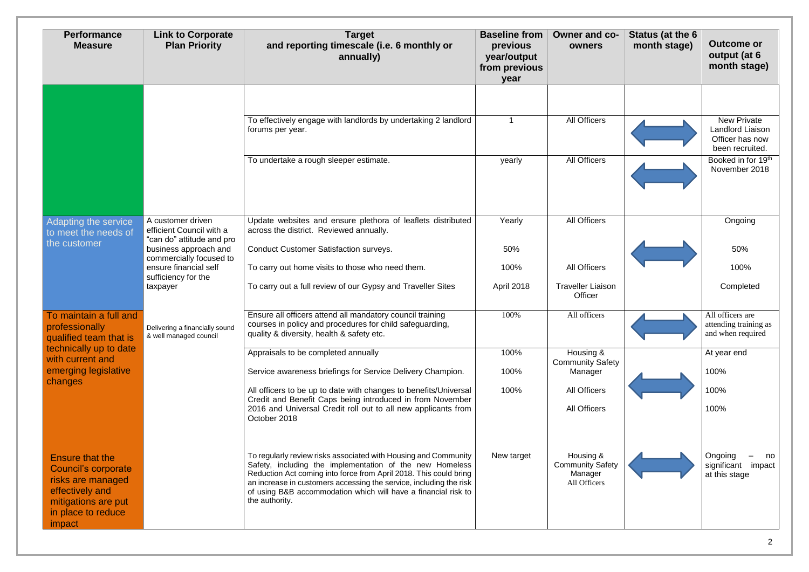| <b>Performance</b><br><b>Measure</b>                                                                                                                | <b>Link to Corporate</b><br><b>Plan Priority</b>                                                                                                                                           | <b>Target</b><br>and reporting timescale (i.e. 6 monthly or<br>annually)                                                                                                                                                                                                                | <b>Baseline from</b><br>previous<br>year/output<br>from previous<br>year | Owner and co-<br>owners                            | Status (at the 6<br>month stage) | <b>Outcome or</b><br>output (at 6<br>month stage)                            |
|-----------------------------------------------------------------------------------------------------------------------------------------------------|--------------------------------------------------------------------------------------------------------------------------------------------------------------------------------------------|-----------------------------------------------------------------------------------------------------------------------------------------------------------------------------------------------------------------------------------------------------------------------------------------|--------------------------------------------------------------------------|----------------------------------------------------|----------------------------------|------------------------------------------------------------------------------|
|                                                                                                                                                     |                                                                                                                                                                                            | To effectively engage with landlords by undertaking 2 landlord<br>forums per year.                                                                                                                                                                                                      | -1                                                                       | <b>All Officers</b>                                |                                  | <b>New Private</b><br>Landlord Liaison<br>Officer has now<br>been recruited. |
|                                                                                                                                                     |                                                                                                                                                                                            | To undertake a rough sleeper estimate.                                                                                                                                                                                                                                                  | yearly                                                                   | <b>All Officers</b>                                |                                  | Booked in for 19 <sup>th</sup><br>November 2018                              |
| Adapting the service<br>to meet the needs of<br>the customer                                                                                        | A customer driven<br>efficient Council with a<br>"can do" attitude and pro<br>business approach and<br>commercially focused to<br>ensure financial self<br>sufficiency for the<br>taxpayer | Update websites and ensure plethora of leaflets distributed<br>across the district. Reviewed annually.                                                                                                                                                                                  | Yearly                                                                   | <b>All Officers</b>                                |                                  | Ongoing                                                                      |
|                                                                                                                                                     |                                                                                                                                                                                            | <b>Conduct Customer Satisfaction surveys.</b>                                                                                                                                                                                                                                           | 50%                                                                      |                                                    |                                  | 50%                                                                          |
|                                                                                                                                                     |                                                                                                                                                                                            | To carry out home visits to those who need them.                                                                                                                                                                                                                                        | 100%                                                                     | <b>All Officers</b>                                |                                  | 100%                                                                         |
|                                                                                                                                                     |                                                                                                                                                                                            | To carry out a full review of our Gypsy and Traveller Sites                                                                                                                                                                                                                             | April 2018                                                               | <b>Traveller Liaison</b><br>Officer                |                                  | Completed                                                                    |
| To maintain a full and<br>professionally<br>qualified team that is<br>technically up to date<br>with current and<br>emerging legislative<br>changes | Delivering a financially sound<br>& well managed council                                                                                                                                   | Ensure all officers attend all mandatory council training<br>courses in policy and procedures for child safequarding,<br>quality & diversity, health & safety etc.                                                                                                                      | 100%                                                                     | All officers                                       |                                  | All officers are<br>attending training as<br>and when required               |
|                                                                                                                                                     |                                                                                                                                                                                            | Appraisals to be completed annually                                                                                                                                                                                                                                                     | 100%                                                                     | Housing &<br><b>Community Safety</b>               |                                  | At year end                                                                  |
|                                                                                                                                                     |                                                                                                                                                                                            | Service awareness briefings for Service Delivery Champion.                                                                                                                                                                                                                              | 100%                                                                     | Manager                                            |                                  | 100%                                                                         |
|                                                                                                                                                     |                                                                                                                                                                                            | All officers to be up to date with changes to benefits/Universal<br>Credit and Benefit Caps being introduced in from November<br>2016 and Universal Credit roll out to all new applicants from                                                                                          | 100%                                                                     | <b>All Officers</b><br><b>All Officers</b>         |                                  | 100%<br>100%                                                                 |
| <b>Ensure that the</b>                                                                                                                              |                                                                                                                                                                                            | October 2018<br>To regularly review risks associated with Housing and Community                                                                                                                                                                                                         | New target                                                               | Housing &                                          |                                  | Ongoing                                                                      |
| <b>Council's corporate</b><br>risks are managed<br>effectively and<br>mitigations are put<br>in place to reduce<br>impact                           |                                                                                                                                                                                            | Safety, including the implementation of the new Homeless<br>Reduction Act coming into force from April 2018. This could bring<br>an increase in customers accessing the service, including the risk<br>of using B&B accommodation which will have a financial risk to<br>the authority. |                                                                          | <b>Community Safety</b><br>Manager<br>All Officers |                                  | significant<br>impad<br>at this stage                                        |